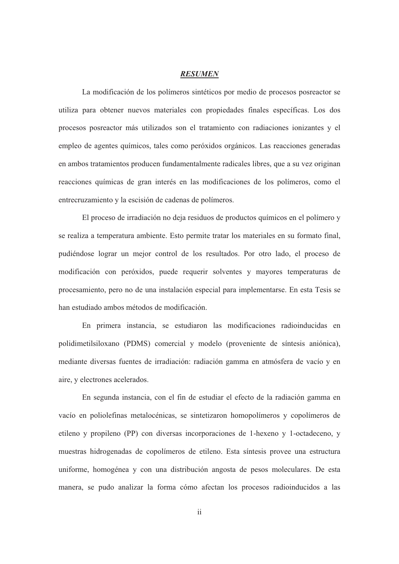## *RESUMEN*

La modificación de los polímeros sintéticos por medio de procesos posreactor se utiliza para obtener nuevos materiales con propiedades finales específicas. Los dos procesos posreactor más utilizados son el tratamiento con radiaciones ionizantes y el empleo de agentes químicos, tales como peróxidos orgánicos. Las reacciones generadas en ambos tratamientos producen fundamentalmente radicales libres, que a su vez originan reacciones químicas de gran interés en las modificaciones de los polímeros, como el entrecruzamiento y la escisión de cadenas de polímeros.

El proceso de irradiación no deja residuos de productos químicos en el polímero y se realiza a temperatura ambiente. Esto permite tratar los materiales en su formato final, pudiéndose lograr un mejor control de los resultados. Por otro lado, el proceso de modificación con peróxidos, puede requerir solventes y mayores temperaturas de procesamiento, pero no de una instalación especial para implementarse. En esta Tesis se han estudiado ambos métodos de modificación.

En primera instancia, se estudiaron las modificaciones radioinducidas en polidimetilsiloxano (PDMS) comercial y modelo (proveniente de síntesis aniónica), mediante diversas fuentes de irradiación: radiación gamma en atmósfera de vacío y en aire, y electrones acelerados.

En segunda instancia, con el fin de estudiar el efecto de la radiación gamma en vacío en poliolefinas metalocénicas, se sintetizaron homopolímeros y copolímeros de etileno y propileno (PP) con diversas incorporaciones de 1-hexeno y 1-octadeceno, y muestras hidrogenadas de copolímeros de etileno. Esta síntesis provee una estructura uniforme, homogénea y con una distribución angosta de pesos moleculares. De esta manera, se pudo analizar la forma cómo afectan los procesos radioinducidos a las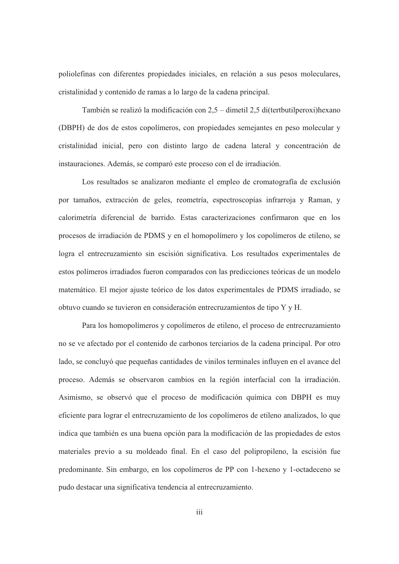poliolefinas con diferentes propiedades iniciales, en relación a sus pesos moleculares, cristalinidad y contenido de ramas a lo largo de la cadena principal.

También se realizó la modificación con 2,5 – dimetil 2,5 di(tertbutilperoxi)hexano (DBPH) de dos de estos copolímeros, con propiedades semejantes en peso molecular y cristalinidad inicial, pero con distinto largo de cadena lateral y concentración de instauraciones. Además, se comparó este proceso con el de irradiación.

Los resultados se analizaron mediante el empleo de cromatografía de exclusión por tamaños, extracción de geles, reometría, espectroscopías infrarroja y Raman, y calorimetría diferencial de barrido. Estas caracterizaciones confirmaron que en los procesos de irradiación de PDMS y en el homopolímero y los copolímeros de etileno, se logra el entrecruzamiento sin escisión significativa. Los resultados experimentales de estos polímeros irradiados fueron comparados con las predicciones teóricas de un modelo matemático. El mejor ajuste teórico de los datos experimentales de PDMS irradiado, se obtuvo cuando se tuvieron en consideración entrecruzamientos de tipo Y y H.

Para los homopolímeros y copolímeros de etileno, el proceso de entrecruzamiento no se ve afectado por el contenido de carbonos terciarios de la cadena principal. Por otro lado, se concluyó que pequeñas cantidades de vinilos terminales influyen en el avance del proceso. Además se observaron cambios en la región interfacial con la irradiación. Asimismo, se observó que el proceso de modificación química con DBPH es muy eficiente para lograr el entrecruzamiento de los copolímeros de etileno analizados, lo que indica que también es una buena opción para la modificación de las propiedades de estos materiales previo a su moldeado final. En el caso del polipropileno, la escisión fue predominante. Sin embargo, en los copolímeros de PP con 1-hexeno y 1-octadeceno se pudo destacar una significativa tendencia al entrecruzamiento.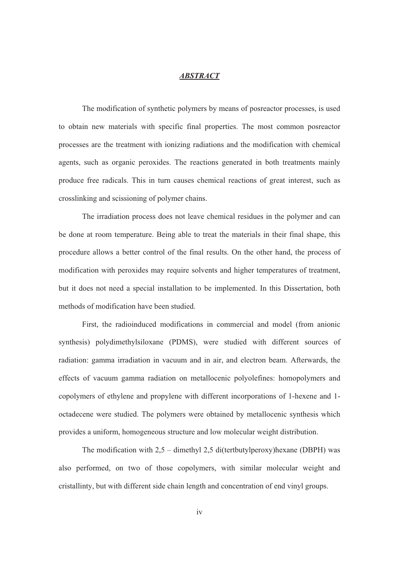## *ABSTRACT*

The modification of synthetic polymers by means of posreactor processes, is used to obtain new materials with specific final properties. The most common posreactor processes are the treatment with ionizing radiations and the modification with chemical agents, such as organic peroxides. The reactions generated in both treatments mainly produce free radicals. This in turn causes chemical reactions of great interest, such as crosslinking and scissioning of polymer chains.

The irradiation process does not leave chemical residues in the polymer and can be done at room temperature. Being able to treat the materials in their final shape, this procedure allows a better control of the final results. On the other hand, the process of modification with peroxides may require solvents and higher temperatures of treatment, but it does not need a special installation to be implemented. In this Dissertation, both methods of modification have been studied.

First, the radioinduced modifications in commercial and model (from anionic synthesis) polydimethylsiloxane (PDMS), were studied with different sources of radiation: gamma irradiation in vacuum and in air, and electron beam. Afterwards, the effects of vacuum gamma radiation on metallocenic polyolefines: homopolymers and copolymers of ethylene and propylene with different incorporations of 1-hexene and 1 octadecene were studied. The polymers were obtained by metallocenic synthesis which provides a uniform, homogeneous structure and low molecular weight distribution.

The modification with 2,5 – dimethyl 2,5 di(tertbutylperoxy)hexane (DBPH) was also performed, on two of those copolymers, with similar molecular weight and cristallinty, but with different side chain length and concentration of end vinyl groups.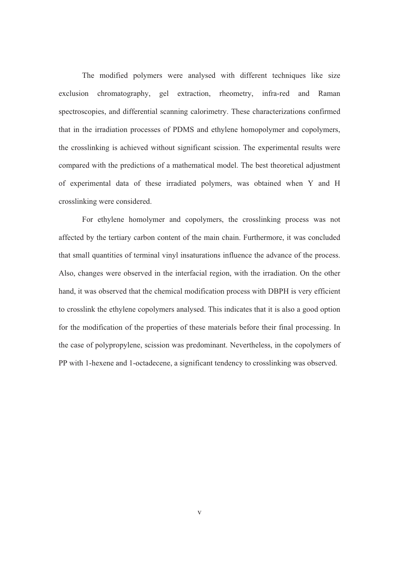The modified polymers were analysed with different techniques like size exclusion chromatography, gel extraction, rheometry, infra-red and Raman spectroscopies, and differential scanning calorimetry. These characterizations confirmed that in the irradiation processes of PDMS and ethylene homopolymer and copolymers, the crosslinking is achieved without significant scission. The experimental results were compared with the predictions of a mathematical model. The best theoretical adjustment of experimental data of these irradiated polymers, was obtained when Y and H crosslinking were considered.

For ethylene homolymer and copolymers, the crosslinking process was not affected by the tertiary carbon content of the main chain. Furthermore, it was concluded that small quantities of terminal vinyl insaturations influence the advance of the process. Also, changes were observed in the interfacial region, with the irradiation. On the other hand, it was observed that the chemical modification process with DBPH is very efficient to crosslink the ethylene copolymers analysed. This indicates that it is also a good option for the modification of the properties of these materials before their final processing. In the case of polypropylene, scission was predominant. Nevertheless, in the copolymers of PP with 1-hexene and 1-octadecene, a significant tendency to crosslinking was observed.